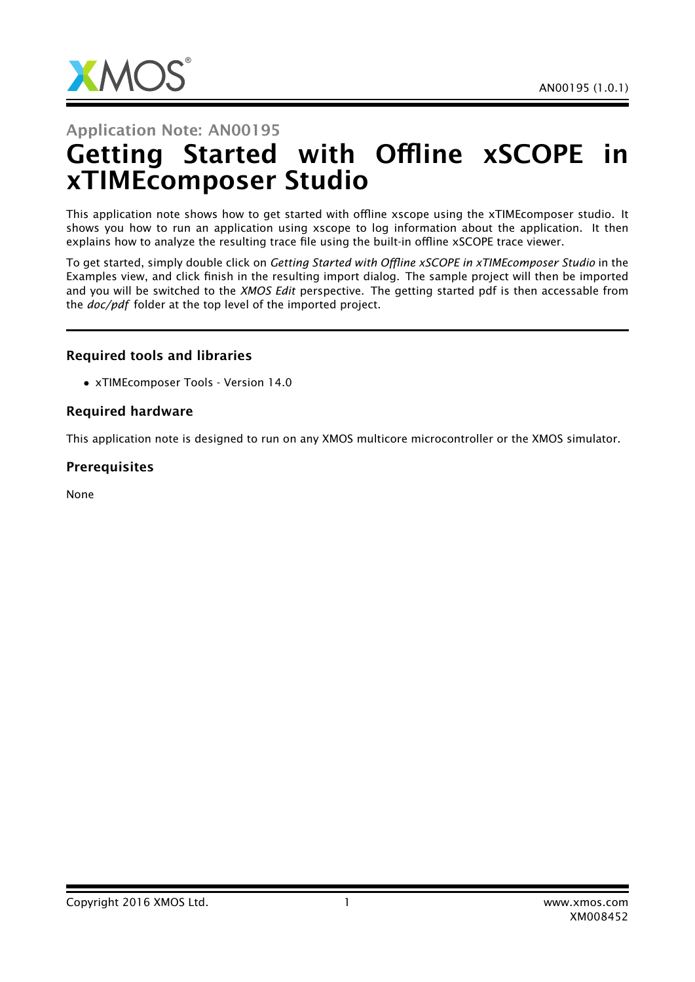

#### Application Note: AN00195

# Getting Started with Offline xSCOPE in xTIMEcomposer Studio

This application note shows how to get started with offline xscope using the xTIMEcomposer studio. It shows you how to run an application using xscope to log information about the application. It then explains how to analyze the resulting trace file using the built-in offline xSCOPE trace viewer.

To get started, simply double click on *Getting Started with Offline xSCOPE in xTIMEcomposer Studio* in the Examples view, and click finish in the resulting import dialog. The sample project will then be imported and you will be switched to the *XMOS Edit* perspective. The getting started pdf is then accessable from the *doc/pdf* folder at the top level of the imported project.

#### Required tools and libraries

• xTIMEcomposer Tools - Version 14.0

#### Required hardware

This application note is designed to run on any XMOS multicore microcontroller or the XMOS simulator.

#### **Prerequisites**

None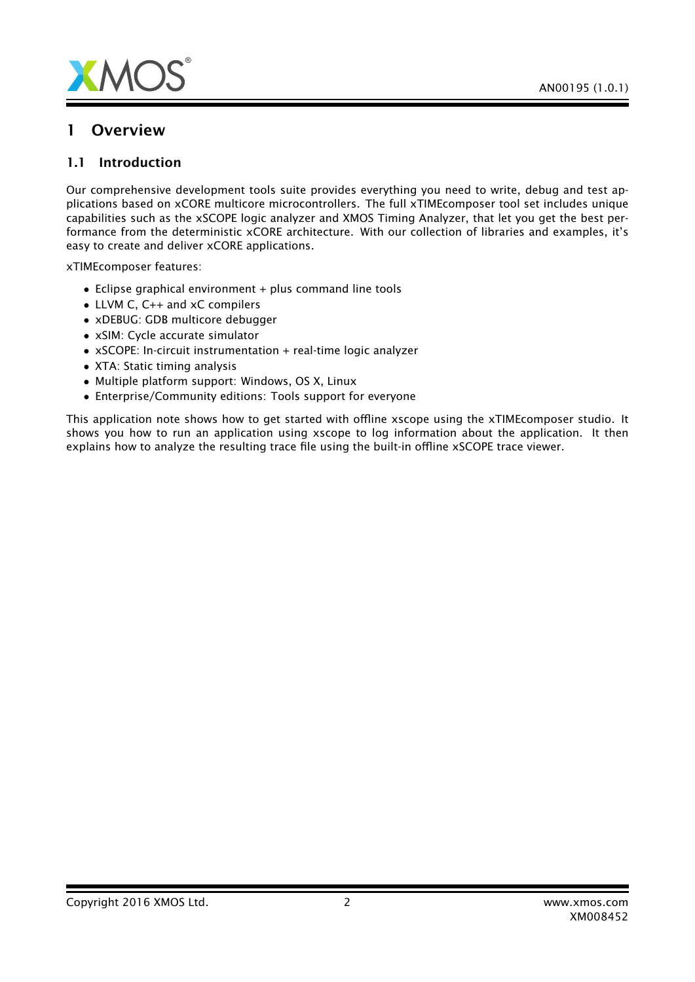

#### 1 Overview

#### 1.1 Introduction

Our comprehensive development tools suite provides everything you need to write, debug and test applications based on xCORE multicore microcontrollers. The full xTIMEcomposer tool set includes unique capabilities such as the xSCOPE logic analyzer and XMOS Timing Analyzer, that let you get the best performance from the deterministic xCORE architecture. With our collection of libraries and examples, it's easy to create and deliver xCORE applications.

xTIMEcomposer features:

- Eclipse graphical environment + plus command line tools
- LLVM C, C++ and xC compilers
- xDEBUG: GDB multicore debugger
- xSIM: Cycle accurate simulator
- xSCOPE: In-circuit instrumentation + real-time logic analyzer
- XTA: Static timing analysis
- Multiple platform support: Windows, OS X, Linux
- Enterprise/Community editions: Tools support for everyone

This application note shows how to get started with offline xscope using the xTIMEcomposer studio. It shows you how to run an application using xscope to log information about the application. It then explains how to analyze the resulting trace file using the built-in offline xSCOPE trace viewer.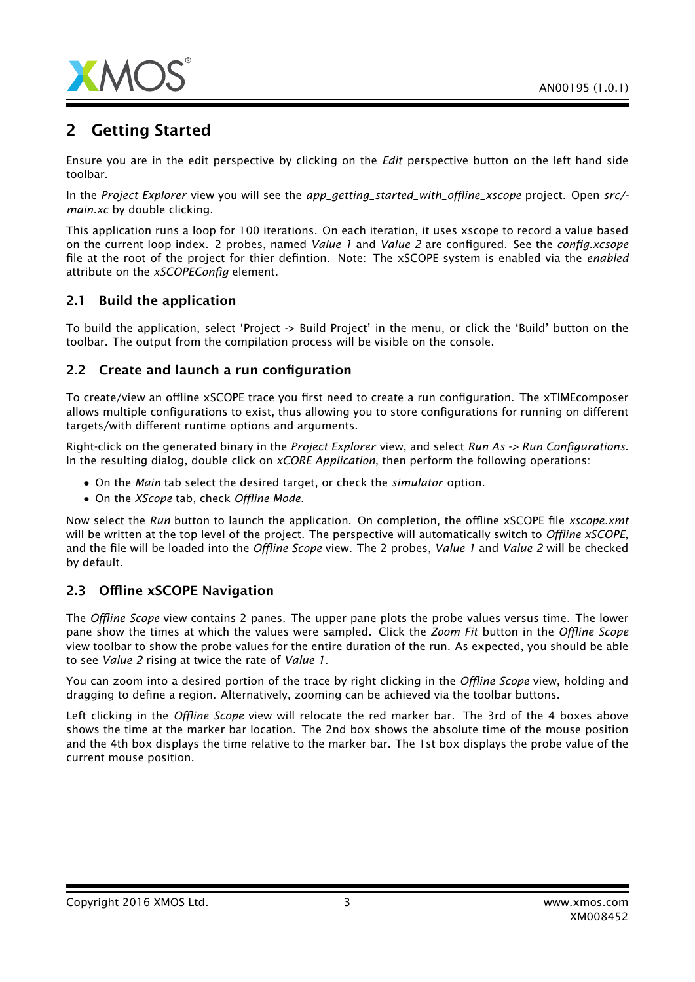

## 2 Getting Started

Ensure you are in the edit perspective by clicking on the *Edit* perspective button on the left hand side toolbar.

In the *Project Explorer* view you will see the *app\_getting\_started\_with\_offline\_xscope* project. Open *src/ main.xc* by double clicking.

This application runs a loop for 100 iterations. On each iteration, it uses xscope to record a value based on the current loop index. 2 probes, named *Value 1* and *Value 2* are configured. See the *config.xcsope* file at the root of the project for thier defintion. Note: The xSCOPE system is enabled via the *enabled* attribute on the *xSCOPEConfig* element.

#### 2.1 Build the application

To build the application, select 'Project -> Build Project' in the menu, or click the 'Build' button on the toolbar. The output from the compilation process will be visible on the console.

#### 2.2 Create and launch a run configuration

To create/view an offline xSCOPE trace you first need to create a run configuration. The xTIMEcomposer allows multiple configurations to exist, thus allowing you to store configurations for running on different targets/with different runtime options and arguments.

Right-click on the generated binary in the *Project Explorer* view, and select *Run As -> Run Configurations*. In the resulting dialog, double click on *xCORE Application*, then perform the following operations:

- On the *Main* tab select the desired target, or check the *simulator* option.
- On the *XScope* tab, check *Offline Mode*.

Now select the *Run* button to launch the application. On completion, the offline xSCOPE file *xscope.xmt* will be written at the top level of the project. The perspective will automatically switch to *Offline xSCOPE*, and the file will be loaded into the *Offline Scope* view. The 2 probes, *Value 1* and *Value 2* will be checked by default.

#### 2.3 Offline xSCOPE Navigation

The *Offline Scope* view contains 2 panes. The upper pane plots the probe values versus time. The lower pane show the times at which the values were sampled. Click the *Zoom Fit* button in the *Offline Scope* view toolbar to show the probe values for the entire duration of the run. As expected, you should be able to see *Value 2* rising at twice the rate of *Value 1*.

You can zoom into a desired portion of the trace by right clicking in the *Offline Scope* view, holding and dragging to define a region. Alternatively, zooming can be achieved via the toolbar buttons.

Left clicking in the *Offline Scope* view will relocate the red marker bar. The 3rd of the 4 boxes above shows the time at the marker bar location. The 2nd box shows the absolute time of the mouse position and the 4th box displays the time relative to the marker bar. The 1st box displays the probe value of the current mouse position.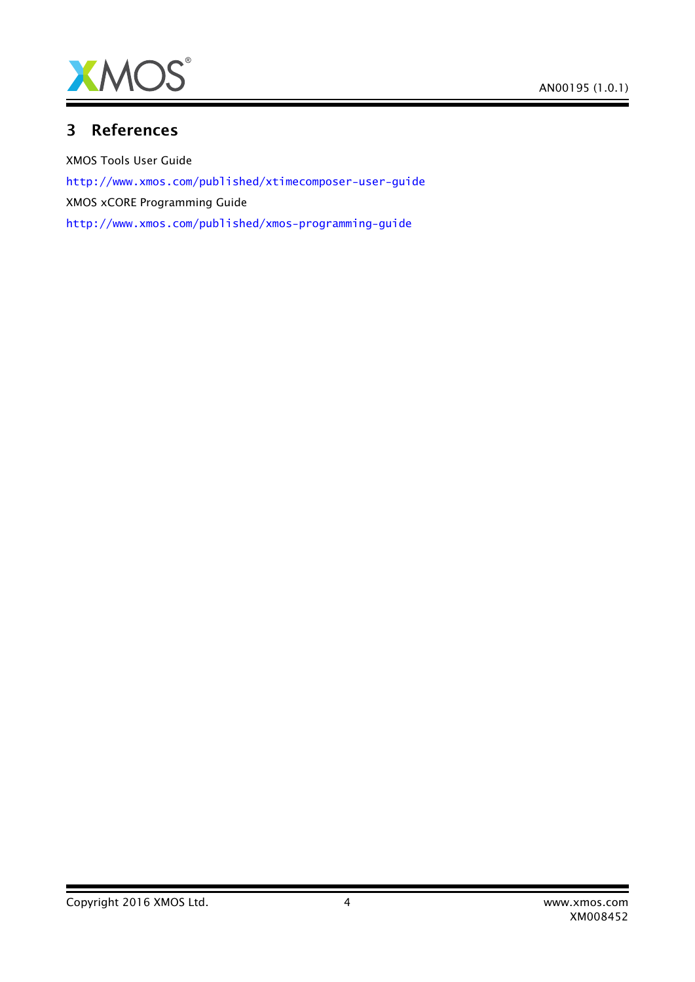

### 3 References

XMOS Tools User Guide <http://www.xmos.com/published/xtimecomposer-user-guide> XMOS xCORE Programming Guide <http://www.xmos.com/published/xmos-programming-guide>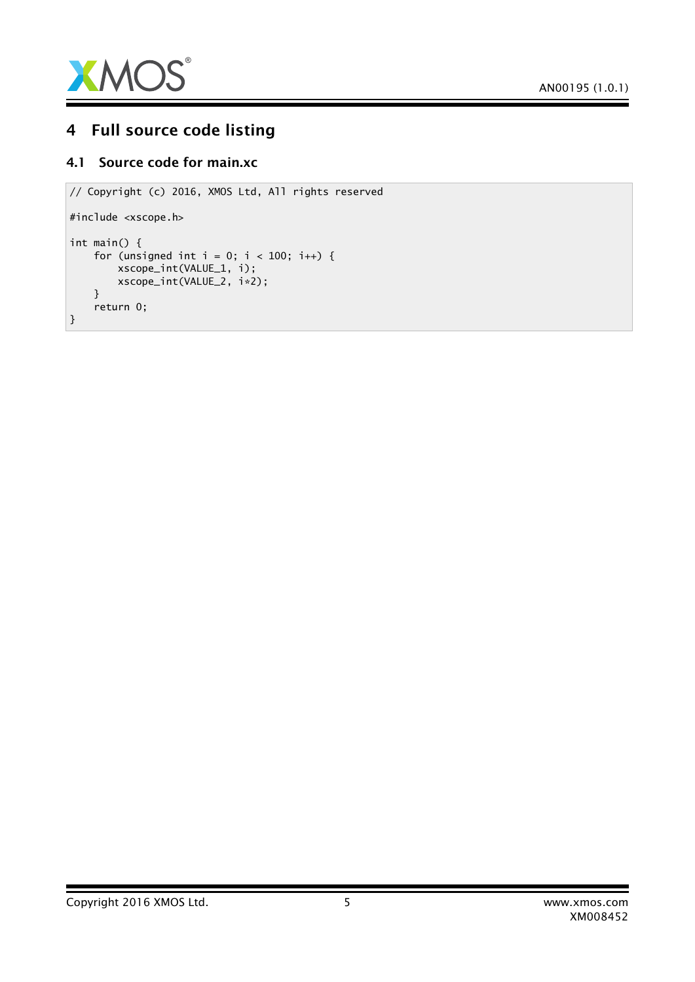

## 4 Full source code listing

#### 4.1 Source code for main.xc

```
// Copyright (c) 2016, XMOS Ltd, All rights reserved
#include <xscope.h>
int main() {
    for (unsigned int i = 0; i < 100; i++) {
        xscope_int(VALUE_1, i);
        xscope_int(VALUE_2, i*2);
    }
    return 0;
}
```